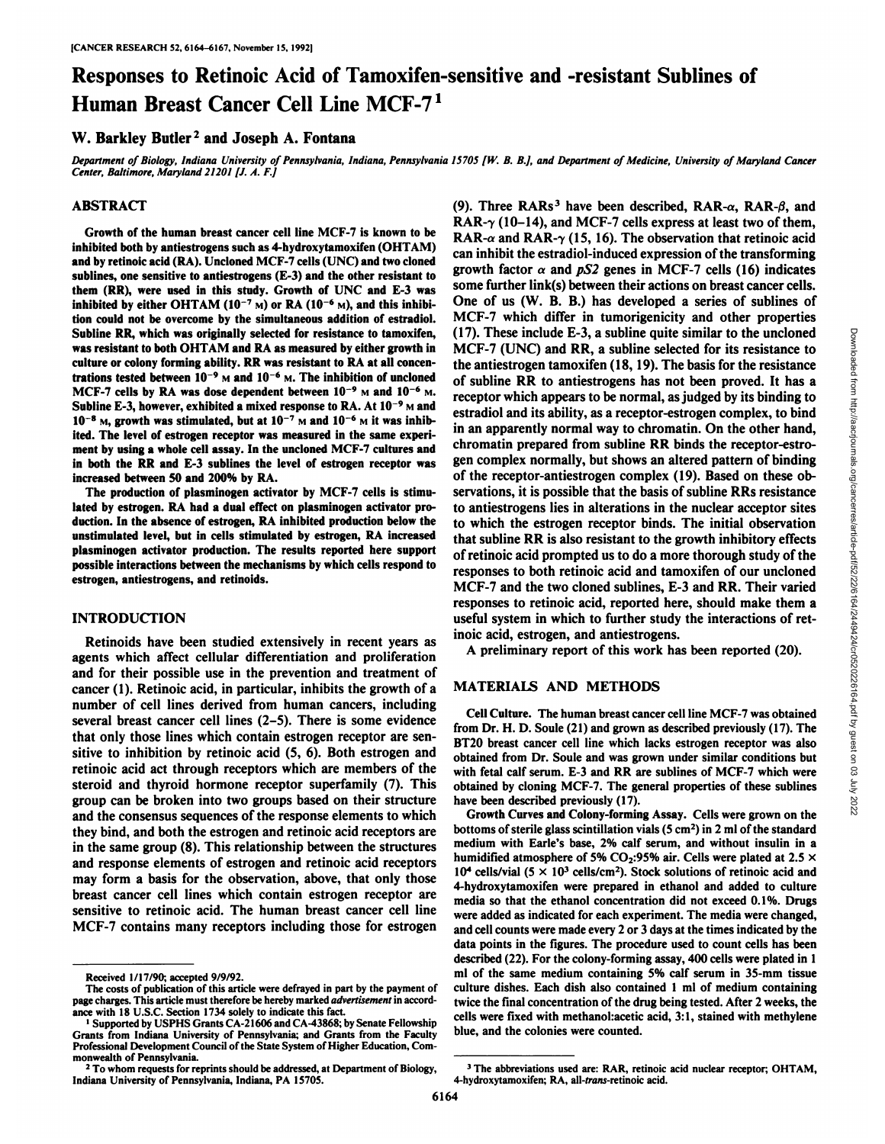# Responses to Retinoic Acid of Tamoxifen-sensitive and -resistant Sublines of Human Breast Cancer Cell Line MCF-71

# W. Barkley Butler<sup>2</sup> and Joseph A. Fontana

Department of Biology, Indiana University of Pennsylvania, Indiana, Pennsylvania 15705 [W. B. B.], and Department of Medicine, University of Maryland Cancer *Center, Baltimore, Maryland 21201 [J. A. F.]*

# ABSTRACT

Growth of the human breast cancer cell line MCF-7 is known to be inhibited both by antiestrogens such as 4-hydroxytamoxifen (OHTAM) and by retinoic acid (RA). Uncloned MCF-7 cells (UNC) and two cloned sublines, one sensitive to antiestrogens (E-3) and the other resistant to them (RR), were used in this study. Growth of UNC and E-3 was inhibited by either OHTAM ( $10^{-7}$  M) or RA ( $10^{-6}$  M), and this inhibition could not be overcome by the simultaneous addition of estradiol. Subline RR, which was originally selected for resistance to tamoxifen, was resistant to both OHTAM and RA as measured by either growth in culture or colony forming ability. RR was resistant to RA at all concen trations tested between  $10^{-9}$  M and  $10^{-6}$  M. The inhibition of uncloned MCF-7 cells by RA was dose dependent between  $10^{-9}$  M and  $10^{-6}$  M. Subline E-3, however, exhibited a mixed response to RA. At  $10^{-9}$  M and  $10^{-8}$  M, growth was stimulated, but at  $10^{-7}$  M and  $10^{-6}$  M it was inhibited. The level of estrogen receptor was measured in the same experi ment by using a whole cell assay. In the uncloned MCF-7 cultures and in both the RR and E-3 sublines the level of estrogen receptor was increased between 50 and 200% by RA.

The production of plasminogen activator by MCF-7 cells is stimu lated by estrogen. RA had a dual effect on plasminogen activator pro duction. In the absence of estrogen, RA inhibited production below the unstimulated level, but in cells stimulated by estrogen, RA increased plasminogen activator production. The results reported here support possible interactions between the mechanisms by which cells respond to estrogen, antiestrogens, and retinoids.

# INTRODUCTION

Retinoids have been studied extensively in recent years as agents which affect cellular differentiation and proliferation and for their possible use in the prevention and treatment of cancer (1). Retinoic acid, in particular, inhibits the growth of a number of cell lines derived from human cancers, including several breast cancer cell lines (2-5). There is some evidence that only those lines which contain estrogen receptor are sen sitive to inhibition by retinoic acid (5, 6). Both estrogen and retinoic acid act through receptors which are members of the steroid and thyroid hormone receptor superfamily (7). This group can be broken into two groups based on their structure and the consensus sequences of the response elements to which they bind, and both the estrogen and retinoic acid receptors are in the same group (8). This relationship between the structures and response elements of estrogen and retinoic acid receptors may form a basis for the observation, above, that only those breast cancer cell lines which contain estrogen receptor are sensitive to retinoic acid. The human breast cancer cell line MCF-7 contains many receptors including those for estrogen

(9). Three RARs<sup>3</sup> have been described, RAR- $\alpha$ , RAR- $\beta$ , and RAR- $\gamma$  (10-14), and MCF-7 cells express at least two of them, RAR- $\alpha$  and RAR- $\gamma$  (15, 16). The observation that retinoic acid can inhibit the estradiol-induced expression of the transforming growth factor  $\alpha$  and pS2 genes in MCF-7 cells (16) indicates some further link(s) between their actions on breast cancer cells. One of us (W. B. B.) has developed a series of sublines of MCF-7 which differ in tumorigenicity and other properties (17). These include E-3, a subline quite similar to the uncloned MCF-7 (UNC) and RR, a subline selected for its resistance to the metric transform (18, 19). The basis for the resistance of subline RR to antiestrogens has MCF-7 (UNC) and RR, a subline selected for its resistance to the antiestrogen tamoxifen (18,19). The basis for the resistance of subline RR to antiestrogens has not been proved. It has a receptor which appears to be normal, as judged by its binding to estradiol and its ability, as a receptor-estrogen complex, to bind in an apparently normal way to chromatin. On the other hand, chromatin prepared from subline RR binds the receptor-estro gen complex normally, but shows an altered pattern of binding of the receptor-antiestrogen complex (19). Based on these ob servations, it is possible that the basis of subline RRs resistance to antiestrogens lies in alterations in the nuclear acceptor sites to which the estrogen receptor binds. The initial observation that subline RR is also resistant to the growth inhibitory effects of retinoic acid prompted us to do a more thorough study of the responses to both retinoic acid and tamoxifen of our uncloned MCF-7 and the two cloned sublines, E-3 and RR. Their varied responses to retinoic acid, reported here, should make them a useful system in which to further study the interactions of ret inoic acid, estrogen, and antiestrogens.

A preliminary report of this work has been reported (20).

#### MATERIALS AND METHODS

4-hydroxytamoxifen; RA, all-frans-retinoic acid.

Cell Culture. The human breast cancer cell line MCF-7 was obtained from Dr. H. D. Soule (21) and grown as described previously (17). The BT20 breast cancer cell line which lacks estrogen receptor was also obtained from Dr. Soule and was grown under similar conditions but with fetal calf serum. E-3 and RR are sublines of MCF-7 which were obtained by cloning MCF-7. The general properties of these sublines have been described previously (17).

Growth Curves and Colony-forming Assay. Cells were grown on the bottoms of sterile glass scintillation vials  $(5 \text{ cm}^2)$  in 2 ml of the standard medium with Earle's base, 2% calf serum, and without insulin in a humidified atmosphere of 5% CO<sub>2</sub>:95% air. Cells were plated at 2.5  $\times$  $10<sup>4</sup>$  cells/vial (5  $\times$  10<sup>3</sup> cells/cm<sup>2</sup>). Stock solutions of retinoic acid and 4-hydroxytamoxifen were prepared in ethanol and added to culture media so that the ethanol concentration did not exceed 0.1%. Drugs were added as indicated for each experiment. The media were changed, and cell counts were made every 2 or 3 days at the times indicated by the data points in the figures. The procedure used to count cells has been described (22). For the colony-forming assay, 400 cells were plated in 1 ml of the same medium containing 5% calf serum in 35-mm tissue culture dishes. Each dish also contained 1 ml of medium containing twice the final concentration of the drug being tested. After 2 weeks, the cells were fixed with methanol:acetic acid, 3:1, stained with méthylène blue, and the colonies were counted.

3The abbreviations used are: RAR, retinoic acid nuclear receptor; OHTAM,

Received 1/17/90; accepted 9/9/92.

The costs of publication of this article were defrayed in part by the payment of page charges. This article must therefore be hereby marked advertisement in accordance with 18 U.S.C. Section 1734 solely to indicate this fact.

<sup>1</sup>Supported by USPHS Grants CA-21606 and CA-43868; by Senate Fellowship Grants from Indiana University of Pennsylvania; and Grants from the Faculty Professional Development Council of the State System of Higher Education. Com

<sup>&</sup>lt;sup>2</sup> To whom requests for reprints should be addressed, at Department of Biology, Indiana University of Pennsylvania, Indiana, PA 15705.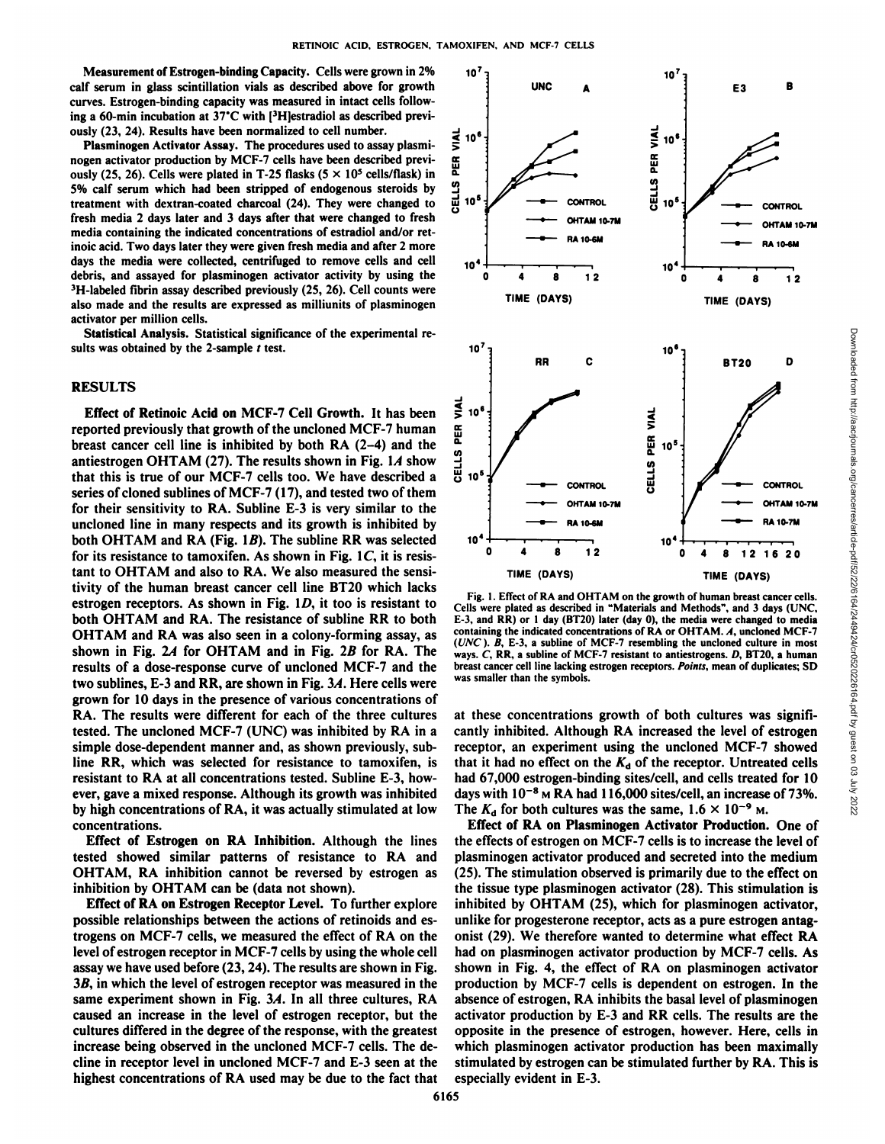Measurement of Estrogen-binding Capacity. Cells were grown in 2% calf serum in glass scintillation vials as described above for growth curves. Estrogen-binding capacity was measured in intact cells follow ing a 60-min incubation at  $37^{\circ}$ C with [3H]estradiol as described previously (23, 24). Results have been normalized to cell number.

Plasminogen Activator Assay. The procedures used to assay plasminogen activator production by MCF-7 cells have been described previ-<br>ously (25. 26). Cells were plated in T-25 flasks (5  $\times$  10<sup>5</sup> cells/flask) in ously (25, 26). Cells were plated in T-25 flasks ( $5 \times 10^5$  cells/flask) in 5% calf serum which had been stripped of endogenous steroids by  $\frac{03}{10}$ <br>treatment with dextran-coated charcoal (24). They were changed to  $\frac{01}{10}$  10<sup>4</sup> treatment with dextran-coated charcoal (24). They were changed to fresh media 2 days later and 3 days after that were changed to fresh media containing the indicated concentrations of estradiol and/or retinoic acid. Two days later they were given fresh media and after 2 more days the media were collected, centrifuged to remove cells and cell debris, and assayed for plasminogen activator activity by using the  ${}^{3}$ H-labeled fibrin assay described previously (25, 26). Cell counts were also made and the results are expressed as milliunits of plasminogen activator per million cells.

Statistical Analysis. Statistical significance of the experimental re sults was obtained by the 2-sample  $t$  test.

# **RESULTS**

Effect of Retinoic Acid on MCF-7 Cell Growth. It has been reported previously that growth of the uncloned MCF-7 human breast cancer cell line is inhibited by both RA (2–4) and the antiestrogen OHTAM (27). The results shown in Fig. 1A show  $\frac{11}{14}$  that this is true of our MCF-7 cells too. We have described a antiestrogen OHTAM (27). The results shown in Fig.  $1A$  show that this is true of our MCF-7 cells too. We have described a series of cloned sublines of MCF-7 (17), and tested two of them for their sensitivity to RA. Subline E-3 is very similar to the uncloned line in many respects and its growth is inhibited by both OHTAM and RA (Fig.  $1B$ ). The subline RR was selected for its resistance to tamoxifen. As shown in Fig.  $1C$ , it is resistant to OHTAM and also to RA. We also measured the sensi tivity of the human breast cancer cell line BT20 which lacks<br>extension assessment to the share in Fig. 1.D it too is genistent to Fig. 1. Effect of RA and OHTAM on the growth of human breast cancer cells. estrogen receptors. As shown in Fig. ID, it too is resistant to both OHTAM and RA. The resistance of subline RR to both OHTAM and RA was also seen in a colony-forming assay, as shown in Fig. 2A for OHTAM and in Fig. 2B for RA. The results of a dose-response curve of uncloned MCF-7 and the two sublines, E-3 and RR, are shown in Fig.3A. Here cells were grown for 10 days in the presence of various concentrations of RA. The results were different for each of the three cultures tested. The uncloned MCF-7 (UNC) was inhibited by RA in a simple dose-dependent manner and, as shown previously, subline RR, which was selected for resistance to tamoxifen, is resistant to RA at all concentrations tested. Subline E-3, how ever, gave a mixed response. Although its growth was inhibited by high concentrations of RA, it was actually stimulated at lowconcentrations.

Effect of Estrogen on RA Inhibition. Although the lines tested showed similar patterns of resistance to RA and OHTAM, RA inhibition cannot be reversed by estrogen as inhibition by OHTAM can be (data not shown).

Effect of RA on Estrogen Receptor Level. To further explore possible relationships between the actions of retinoids and es trogens on MCF-7 cells, we measured the effect of RA on the level of estrogen receptor in MCF-7 cells by using the whole cell assay we have used before (23,24). The results are shown in Fig. 3B, in which the level of estrogen receptor was measured in the same experiment shown in Fig.  $3A$ . In all three cultures, RA caused an increase in the level of estrogen receptor, but the cultures differed in the degree of the response, with the greatest increase being observed in the uncloned MCF-7 cells. The de cline in receptor level in uncloned MCF-7 and E-3 seen at the highest concentrations of RA used may be due to the fact that



Cells were plated as described in "Materials and Methods", and 3 days (UNC, containing the indicated concentrations of RA or OHTAM. A. uncloned MCF-7 ( $UNC$ ). B, E-3, a subline of MCF-7 resembling the uncloned culture in most ways. C, RR, a subline of MCF-7 resistant to antiestrogens.  $D$ , BT20, a human breast cancer cell line lacking estrogen receptors. Points, mean of duplicates; SD was smaller than the symbols.

at these concentrations growth of both cultures was signifi cantly inhibited. Although RA increased the level of estrogen receptor, an experiment using the uncloned MCF-7 showed that it had no effect on the  $K_d$  of the receptor. Untreated cells had 67,000 estrogen-binding sites/cell, and cells treated for 10 days with  $10^{-8}$  M RA had 116,000 sites/cell, an increase of 73%. The  $K_d$  for both cultures was the same,  $1.6 \times 10^{-9}$  M.

Effect of RA on Plasminogen Activator Production. One of the effects of estrogen on MCF-7 cells is to increase the level of plasminogen activator produced and secreted into the medium (25). The stimulation observed is primarily due to the effect on the tissue type plasminogen activator (28). This stimulation is inhibited by OHTAM (25), which for plasminogen activator, unlike for progesterone receptor, acts as a pure estrogen antag onist (29). We therefore wanted to determine what effect RA had on plasminogen activator production by MCF-7 cells. As shown in Fig. 4, the effect of RA on plasminogen activator production by MCF-7 cells is dependent on estrogen. In the absence of estrogen, RA inhibits the basal level of plasminogen activator production by E-3 and RR cells. The results are the opposite in the presence of estrogen, however. Here, cells in which plasminogen activator production has been maximally stimulated by estrogen can be stimulated further by RA.This is especially evident in E-3.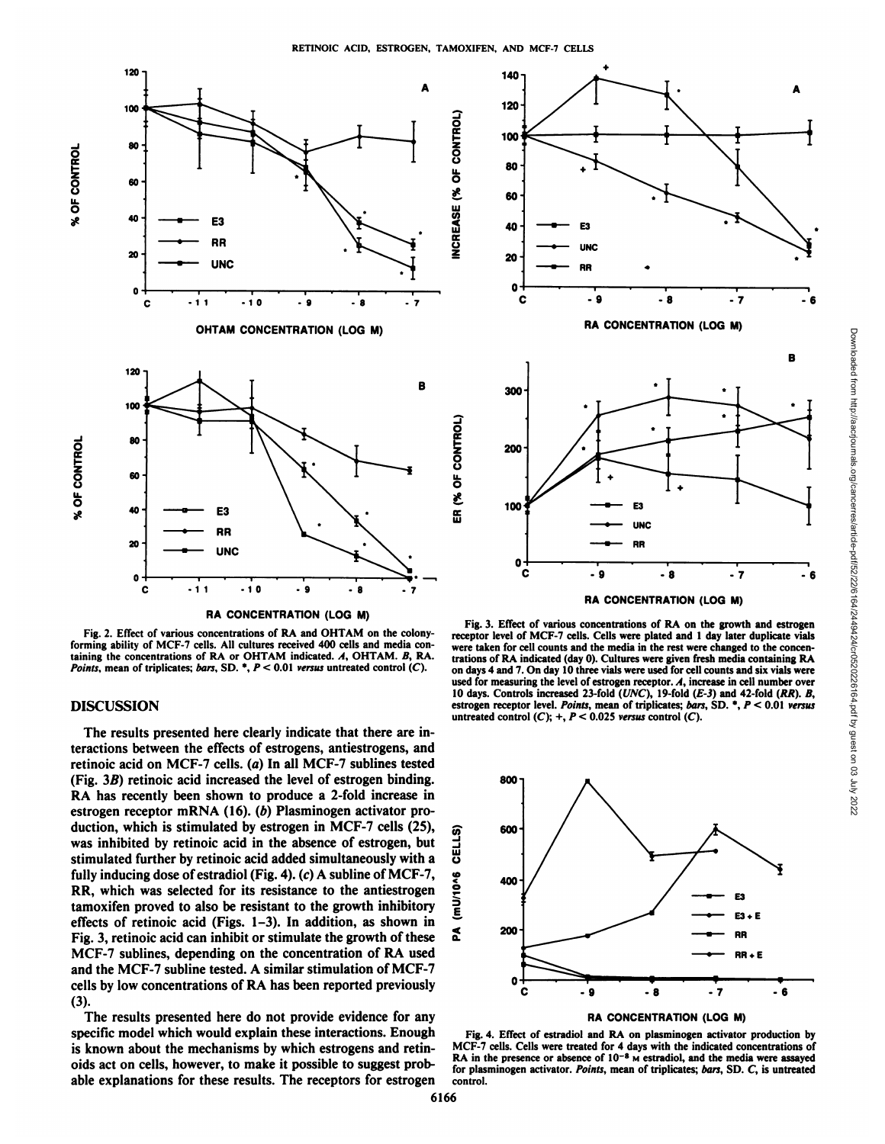



# DISCUSSION

The results presented here clearly indicate that there are in teractions between the effects of estrogens, antiestrogens, and retinoic acid on MCF-7 cells, (a) In all MCF-7 sublines tested (Fig.  $3B$ ) retinoic acid increased the level of estrogen binding. RA has recently been shown to produce a 2-fold increase in estrogen receptor mRNA (16). (b) Plasminogen activator production, which is stimulated by estrogen in MCF-7 cells (25),  $\frac{1}{2}$  was inhibited by retinoic acid in the absence of estrogen, but  $\frac{1}{2}$  stimulated further by retinoic acid added simultaneously with a was inhibited by retinoic acid in the absence of estrogen, but stimulated further by retinoic acid added simultaneously with a fully inducing dose of estradiol (Fig. 4). (c) A subline of MCF-7,<br>RR, which was selected for its resistance to the antiestrogen<br>tamoxifen proved to also be resistant to the growth inhibitory<br> $\sum_{i=1}^{5}$ RR, which was selected for its resistance to the antiestrogen tamoxifen proved to also be resistant to the growth inhibitory effects of retinoic acid (Figs. 1–3). In addition, as shown in<br>Fig. 3. retinoic acid can inhibit or stimulate the growth of these Fig. 3, retinoic acid can inhibit or stimulate the growth of these MCF-7 sublines, depending on the concentration of RA used and the MCF-7 subline tested. A similar stimulation of MCF-7 cells by low concentrations of RA has been reported previously (3).

The results presented here do not provide evidence for any specific model which would explain these interactions. Enough is known about the mechanisms by which estrogens and retinoids act on cells, however, to make it possible to suggest prob able explanations for these results. The receptors for estrogen



Fig. 3. Effect of various concentrations of RA on the growth and estrogen

receptor level of MCF-7 cells. Cells were plated and 1 day later duplicate vials were taken for cell counts and the media in the rest were changed to the concen trations of RA indicated (day 0). Cultures were given fresh media containing RA on days 4 and 7. On day 10 three vials were used for cell counts and six vials were used for measuring the level of estrogen receptor.  $A$ , increase in cell number over 10 days. Controls increased 23-fold ( $UNC$ ), 19-fold ( $E$ -3) and 42-fold ( $RR$ ).  $B$ , estrogen receptor level. Points, mean of triplicates; bars, SD. \*,  $P < 0.01$  versus untreated control  $(C)$ ; +,  $P < 0.025$  versus control  $(C)$ .



Fig. 4. Effect of estradici and RA on plasminogen activator production by MCF-7 cells. Cells were treated for 4 days with the indicated concentrations of  $RA$  in the presence or absence of  $10^{-8}$  Mestradiol, and the media were assayed for plasminogen activator. Points, mean of triplicates; bars, SD. C, is untreated control.